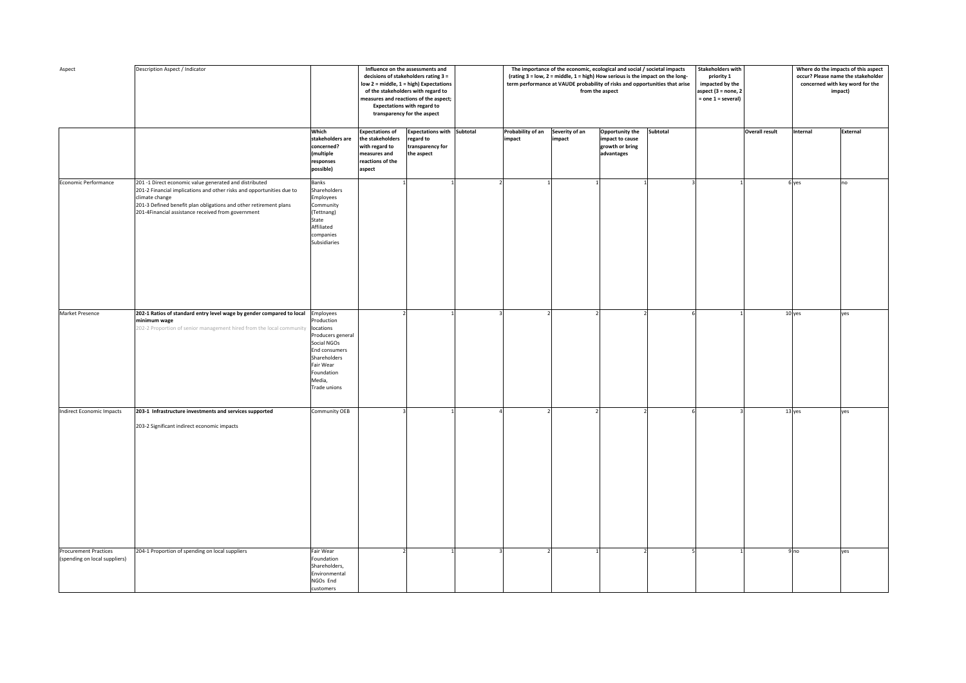| Aspect                                                        | Description Aspect / Indicator                                                                                                                                                                                                                                               |                                                                                                                                                          |                                                                                                            | Influence on the assessments and<br>decisions of stakeholders rating 3 =<br>low 2 = middle, 1 = high) Expectations<br>of the stakeholders with regard to<br>measures and reactions of the aspect;<br><b>Expectations with regard to</b><br>transparency for the aspect |                             | The importance of the economic, ecological and social / societal impacts<br>(rating 3 = low, 2 = middle, 1 = high) How serious is the impact on the long-<br>term performance at VAUDE probability of risks and opportunities that arise | from the aspect                                                     | <b>Stakeholders with</b><br>priority 1<br>impacted by the<br>aspect $(3 = none, 2)$<br>$=$ one $1 =$ several) | Where do the impacts of this aspect<br>occur? Please name the stakeholder<br>concerned with key word for the<br>impact) |                       |                 |          |
|---------------------------------------------------------------|------------------------------------------------------------------------------------------------------------------------------------------------------------------------------------------------------------------------------------------------------------------------------|----------------------------------------------------------------------------------------------------------------------------------------------------------|------------------------------------------------------------------------------------------------------------|------------------------------------------------------------------------------------------------------------------------------------------------------------------------------------------------------------------------------------------------------------------------|-----------------------------|------------------------------------------------------------------------------------------------------------------------------------------------------------------------------------------------------------------------------------------|---------------------------------------------------------------------|---------------------------------------------------------------------------------------------------------------|-------------------------------------------------------------------------------------------------------------------------|-----------------------|-----------------|----------|
|                                                               |                                                                                                                                                                                                                                                                              | Which<br>stakeholders are<br>concerned?<br>(multiple<br>responses<br>possible)                                                                           | <b>Expectations of</b><br>the stakeholders<br>with regard to<br>measures and<br>reactions of the<br>aspect | Expectations with Subtotal<br>regard to<br>transparency for<br>the aspect                                                                                                                                                                                              | Probability of an<br>impact | Severity of an<br>impact                                                                                                                                                                                                                 | Opportunity the<br>impact to cause<br>growth or bring<br>advantages | Subtotal                                                                                                      |                                                                                                                         | <b>Overall result</b> | Internal        | External |
| Economic Performance                                          | 201 -1 Direct economic value generated and distributed<br>201-2 Financial implications and other risks and opportunities due to<br>climate change<br>201-3 Defined benefit plan obligations and other retirement plans<br>201-4Financial assistance received from government | <b>Banks</b><br>Shareholders<br>Employees<br>Community<br>(Tettnang)<br>State<br>Affiliated<br>companies<br>Subsidiaries                                 |                                                                                                            |                                                                                                                                                                                                                                                                        |                             |                                                                                                                                                                                                                                          |                                                                     |                                                                                                               |                                                                                                                         |                       | 6 yes           | no       |
| Market Presence                                               | 202-1 Ratios of standard entry level wage by gender compared to local Employees<br>minimum wage<br>202-2 Proportion of senior management hired from the local community                                                                                                      | Production<br>locations<br>Producers general<br>Social NGOs<br><b>End consumers</b><br>Shareholders<br>Fair Wear<br>Foundation<br>Media,<br>Trade unions |                                                                                                            |                                                                                                                                                                                                                                                                        |                             |                                                                                                                                                                                                                                          |                                                                     |                                                                                                               |                                                                                                                         |                       | 10 yes          | yes      |
| Indirect Economic Impacts                                     | 203-1 Infrastructure investments and services supported<br>203-2 Significant indirect economic impacts                                                                                                                                                                       | Community OEB                                                                                                                                            |                                                                                                            |                                                                                                                                                                                                                                                                        |                             |                                                                                                                                                                                                                                          |                                                                     |                                                                                                               |                                                                                                                         |                       | $13$ yes        | yes      |
| <b>Procurement Practices</b><br>(spending on local suppliers) | 204-1 Proportion of spending on local suppliers                                                                                                                                                                                                                              | Fair Wear<br>Foundation<br>Shareholders,<br>Environmental<br>NGOs End<br>customers                                                                       |                                                                                                            |                                                                                                                                                                                                                                                                        |                             |                                                                                                                                                                                                                                          |                                                                     |                                                                                                               |                                                                                                                         |                       | 9 <sub>no</sub> | yes      |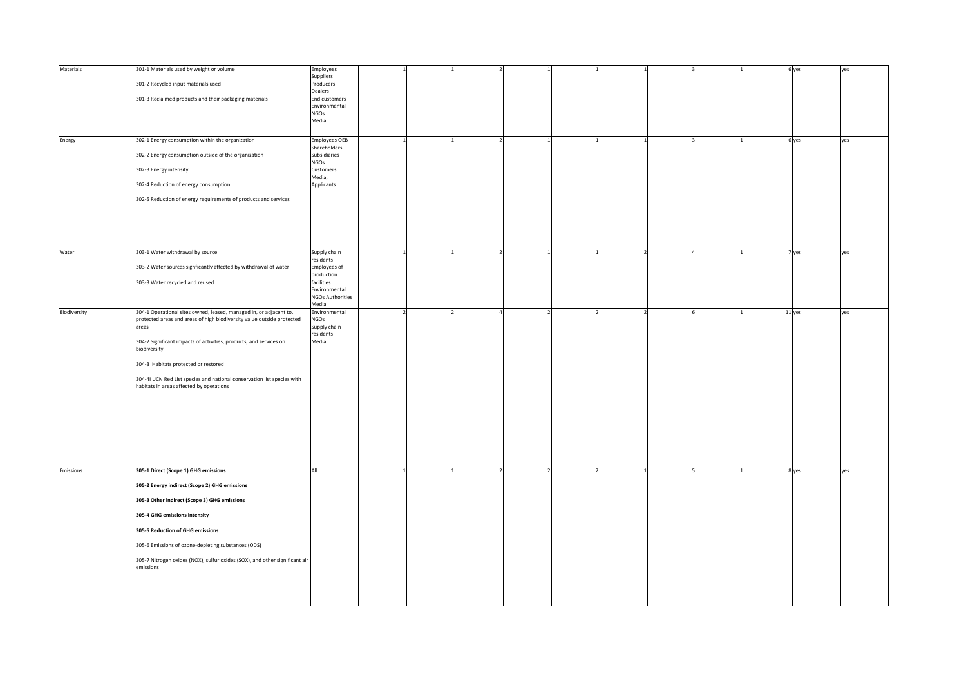| Materials    | 301-1 Materials used by weight or volume                                                                            | Employees<br>Suppliers                   |  |  |  |  | 6 yes  | yes |
|--------------|---------------------------------------------------------------------------------------------------------------------|------------------------------------------|--|--|--|--|--------|-----|
|              | 301-2 Recycled input materials used                                                                                 | Producers<br>Dealers                     |  |  |  |  |        |     |
|              | 301-3 Reclaimed products and their packaging materials                                                              | <b>End customers</b>                     |  |  |  |  |        |     |
|              |                                                                                                                     | Environmental<br><b>NGOs</b>             |  |  |  |  |        |     |
|              |                                                                                                                     | Media                                    |  |  |  |  |        |     |
|              | 302-1 Energy consumption within the organization                                                                    | <b>Employees OEB</b>                     |  |  |  |  | 6 yes  | yes |
| Energy       |                                                                                                                     | Shareholders                             |  |  |  |  |        |     |
|              | 302-2 Energy consumption outside of the organization                                                                | Subsidiaries<br><b>NGOs</b>              |  |  |  |  |        |     |
|              | 302-3 Energy intensity                                                                                              | Customers                                |  |  |  |  |        |     |
|              | 302-4 Reduction of energy consumption                                                                               | Media,<br>Applicants                     |  |  |  |  |        |     |
|              | 302-5 Reduction of energy requirements of products and services                                                     |                                          |  |  |  |  |        |     |
|              |                                                                                                                     |                                          |  |  |  |  |        |     |
|              |                                                                                                                     |                                          |  |  |  |  |        |     |
|              |                                                                                                                     |                                          |  |  |  |  |        |     |
|              |                                                                                                                     |                                          |  |  |  |  |        |     |
| Water        | 303-1 Water withdrawal by source                                                                                    | Supply chain<br>residents                |  |  |  |  | 7 yes  | yes |
|              | 303-2 Water sources signficantly affected by withdrawal of water                                                    | Employees of<br>production               |  |  |  |  |        |     |
|              | 303-3 Water recycled and reused                                                                                     | facilities                               |  |  |  |  |        |     |
|              |                                                                                                                     | Environmental<br><b>NGOs Authorities</b> |  |  |  |  |        |     |
| Biodiversity | 304-1 Operational sites owned, leased, managed in, or adjacent to,                                                  | Media<br>Environmental                   |  |  |  |  | 11 yes | yes |
|              | protected areas and areas of high biodiversity value outside protected                                              | <b>NGOs</b>                              |  |  |  |  |        |     |
|              | areas                                                                                                               | Supply chain<br>residents                |  |  |  |  |        |     |
|              | 304-2 Significant impacts of activities, products, and services on<br>biodiversity                                  | Media                                    |  |  |  |  |        |     |
|              |                                                                                                                     |                                          |  |  |  |  |        |     |
|              | 304-3 Habitats protected or restored                                                                                |                                          |  |  |  |  |        |     |
|              | 304-41 UCN Red List species and national conservation list species with<br>habitats in areas affected by operations |                                          |  |  |  |  |        |     |
|              |                                                                                                                     |                                          |  |  |  |  |        |     |
|              |                                                                                                                     |                                          |  |  |  |  |        |     |
|              |                                                                                                                     |                                          |  |  |  |  |        |     |
|              |                                                                                                                     |                                          |  |  |  |  |        |     |
|              |                                                                                                                     |                                          |  |  |  |  |        |     |
|              |                                                                                                                     |                                          |  |  |  |  |        |     |
| Emissions    | 305-1 Direct (Scope 1) GHG emissions                                                                                | All                                      |  |  |  |  | 8 yes  | yes |
|              | 305-2 Energy indirect (Scope 2) GHG emissions                                                                       |                                          |  |  |  |  |        |     |
|              | 305-3 Other indirect (Scope 3) GHG emissions                                                                        |                                          |  |  |  |  |        |     |
|              |                                                                                                                     |                                          |  |  |  |  |        |     |
|              | 305-4 GHG emissions intensity                                                                                       |                                          |  |  |  |  |        |     |
|              | 305-5 Reduction of GHG emissions                                                                                    |                                          |  |  |  |  |        |     |
|              | 305-6 Emissions of ozone-depleting substances (ODS)                                                                 |                                          |  |  |  |  |        |     |
|              | 305-7 Nitrogen oxides (NOX), sulfur oxides (SOX), and other significant air                                         |                                          |  |  |  |  |        |     |
|              | emissions                                                                                                           |                                          |  |  |  |  |        |     |
|              |                                                                                                                     |                                          |  |  |  |  |        |     |
|              |                                                                                                                     |                                          |  |  |  |  |        |     |
|              |                                                                                                                     |                                          |  |  |  |  |        |     |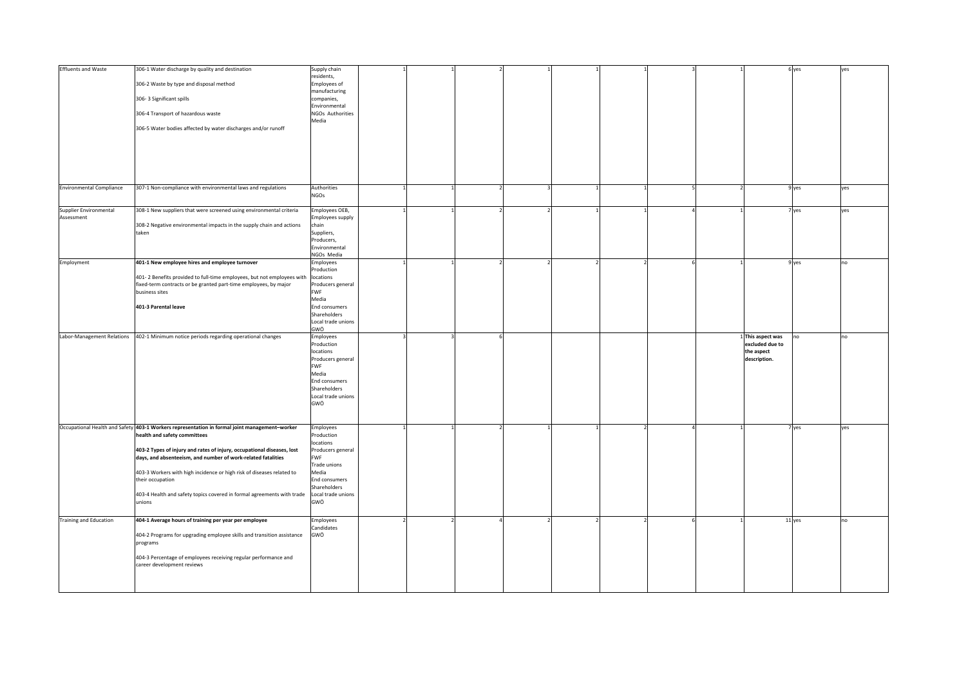| <b>Effluents and Waste</b>      | 306-1 Water discharge by quality and destination                                                                                                     | Supply chain                       |  |  |  |  |                            | 6 yes  | yes |
|---------------------------------|------------------------------------------------------------------------------------------------------------------------------------------------------|------------------------------------|--|--|--|--|----------------------------|--------|-----|
|                                 | 306-2 Waste by type and disposal method                                                                                                              | residents,<br>Employees of         |  |  |  |  |                            |        |     |
|                                 |                                                                                                                                                      | manufacturing                      |  |  |  |  |                            |        |     |
|                                 | 306-3 Significant spills                                                                                                                             | companies,                         |  |  |  |  |                            |        |     |
|                                 | 306-4 Transport of hazardous waste                                                                                                                   | Environmental<br>NGOs Authorities  |  |  |  |  |                            |        |     |
|                                 |                                                                                                                                                      | Media                              |  |  |  |  |                            |        |     |
|                                 | 306-5 Water bodies affected by water discharges and/or runoff                                                                                        |                                    |  |  |  |  |                            |        |     |
|                                 |                                                                                                                                                      |                                    |  |  |  |  |                            |        |     |
|                                 |                                                                                                                                                      |                                    |  |  |  |  |                            |        |     |
|                                 |                                                                                                                                                      |                                    |  |  |  |  |                            |        |     |
|                                 |                                                                                                                                                      |                                    |  |  |  |  |                            |        |     |
|                                 |                                                                                                                                                      |                                    |  |  |  |  |                            |        |     |
| <b>Environmental Compliance</b> | 307-1 Non-compliance with environmental laws and regulations                                                                                         | Authorities                        |  |  |  |  |                            | 9 yes  | yes |
|                                 |                                                                                                                                                      | <b>NGOs</b>                        |  |  |  |  |                            |        |     |
| Supplier Environmental          | 308-1 New suppliers that were screened using environmental criteria                                                                                  | Employees OEB,                     |  |  |  |  |                            | 7 yes  | yes |
| Assessment                      |                                                                                                                                                      | Employees supply                   |  |  |  |  |                            |        |     |
|                                 | 308-2 Negative environmental impacts in the supply chain and actions                                                                                 | chain                              |  |  |  |  |                            |        |     |
|                                 | taken                                                                                                                                                | Suppliers,                         |  |  |  |  |                            |        |     |
|                                 |                                                                                                                                                      | Producers,<br>Environmental        |  |  |  |  |                            |        |     |
|                                 |                                                                                                                                                      | NGOs Media                         |  |  |  |  |                            |        |     |
| Employment                      | 401-1 New employee hires and employee turnover                                                                                                       | Employees                          |  |  |  |  |                            | 9 yes  | no  |
|                                 |                                                                                                                                                      | Production                         |  |  |  |  |                            |        |     |
|                                 | 401-2 Benefits provided to full-time employees, but not employees with locations<br>fixed-term contracts or be granted part-time employees, by major | Producers general                  |  |  |  |  |                            |        |     |
|                                 | business sites                                                                                                                                       | <b>FWF</b>                         |  |  |  |  |                            |        |     |
|                                 |                                                                                                                                                      | Media                              |  |  |  |  |                            |        |     |
|                                 | 401-3 Parental leave                                                                                                                                 | End consumers<br>Shareholders      |  |  |  |  |                            |        |     |
|                                 |                                                                                                                                                      | Local trade unions                 |  |  |  |  |                            |        |     |
|                                 |                                                                                                                                                      | GWÖ                                |  |  |  |  |                            |        |     |
|                                 |                                                                                                                                                      |                                    |  |  |  |  |                            |        |     |
| Labor-Management Relations      | 402-1 Minimum notice periods regarding operational changes                                                                                           | Employees                          |  |  |  |  | 1 This aspect was          | no     | no  |
|                                 |                                                                                                                                                      | Production                         |  |  |  |  | excluded due to            |        |     |
|                                 |                                                                                                                                                      | locations<br>Producers general     |  |  |  |  | the aspect<br>description. |        |     |
|                                 |                                                                                                                                                      | FWF                                |  |  |  |  |                            |        |     |
|                                 |                                                                                                                                                      | Media                              |  |  |  |  |                            |        |     |
|                                 |                                                                                                                                                      | End consumers                      |  |  |  |  |                            |        |     |
|                                 |                                                                                                                                                      | Shareholders<br>Local trade unions |  |  |  |  |                            |        |     |
|                                 |                                                                                                                                                      | GWÖ                                |  |  |  |  |                            |        |     |
|                                 |                                                                                                                                                      |                                    |  |  |  |  |                            |        |     |
|                                 |                                                                                                                                                      |                                    |  |  |  |  |                            |        |     |
|                                 | Occupational Health and Safety 403-1 Workers representation in formal joint management-worker<br>health and safety committees                        | Employees<br>Production            |  |  |  |  |                            | 7 yes  | yes |
|                                 |                                                                                                                                                      | locations                          |  |  |  |  |                            |        |     |
|                                 | 403-2 Types of injury and rates of injury, occupational diseases, lost                                                                               | Producers general                  |  |  |  |  |                            |        |     |
|                                 | days, and absenteeism, and number of work-related fatalities                                                                                         | <b>FWF</b><br>Trade unions         |  |  |  |  |                            |        |     |
|                                 | 403-3 Workers with high incidence or high risk of diseases related to                                                                                | Media                              |  |  |  |  |                            |        |     |
|                                 | their occupation                                                                                                                                     | End consumers                      |  |  |  |  |                            |        |     |
|                                 |                                                                                                                                                      | Shareholders                       |  |  |  |  |                            |        |     |
|                                 | 403-4 Health and safety topics covered in formal agreements with trade<br>unions                                                                     | Local trade unions<br>GWÖ          |  |  |  |  |                            |        |     |
|                                 |                                                                                                                                                      |                                    |  |  |  |  |                            |        |     |
| <b>Training and Education</b>   | 404-1 Average hours of training per year per employee                                                                                                | Employees                          |  |  |  |  |                            | 11 yes | no  |
|                                 |                                                                                                                                                      | Candidates                         |  |  |  |  |                            |        |     |
|                                 | 404-2 Programs for upgrading employee skills and transition assistance                                                                               | GWÖ                                |  |  |  |  |                            |        |     |
|                                 | programs                                                                                                                                             |                                    |  |  |  |  |                            |        |     |
|                                 | 404-3 Percentage of employees receiving regular performance and                                                                                      |                                    |  |  |  |  |                            |        |     |
|                                 | career development reviews                                                                                                                           |                                    |  |  |  |  |                            |        |     |
|                                 |                                                                                                                                                      |                                    |  |  |  |  |                            |        |     |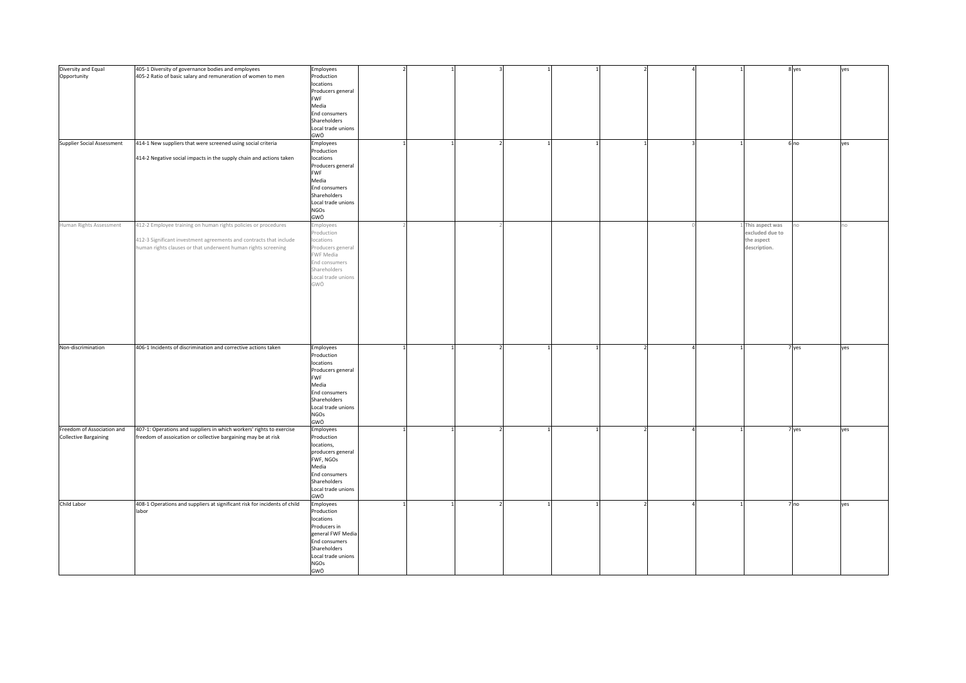| Diversity and Equal<br>Opportunity                         | 405-1 Diversity of governance bodies and employees<br>405-2 Ratio of basic salary and remuneration of women to men                                                                                    | Employees<br>Production<br>locations<br>Producers general<br><b>FWF</b><br>Media<br>End consumers<br>Shareholders<br>Local trade unions                       |              |  |  |  |              |                                                                  | 8 yes           | yes |
|------------------------------------------------------------|-------------------------------------------------------------------------------------------------------------------------------------------------------------------------------------------------------|---------------------------------------------------------------------------------------------------------------------------------------------------------------|--------------|--|--|--|--------------|------------------------------------------------------------------|-----------------|-----|
|                                                            |                                                                                                                                                                                                       | GWÖ                                                                                                                                                           |              |  |  |  |              |                                                                  |                 |     |
| <b>Supplier Social Assessment</b>                          | 414-1 New suppliers that were screened using social criteria<br>414-2 Negative social impacts in the supply chain and actions taken                                                                   | Employees<br>Production<br>locations                                                                                                                          | $\mathbf{1}$ |  |  |  | $\mathbf{1}$ |                                                                  | 6 <sub>no</sub> | yes |
|                                                            |                                                                                                                                                                                                       | Producers general<br><b>FWF</b><br>Media<br>End consumers<br>Shareholders<br>Local trade unions<br><b>NGOs</b><br>GWÖ                                         |              |  |  |  |              |                                                                  |                 |     |
| Human Rights Assessment                                    | 412-2 Employee training on human rights policies or procedures<br>412-3 Significant investment agreements and contracts that include<br>human rights clauses or that underwent human rights screening | mployees<br>Production<br>locations<br>Producers general<br>FWF Media<br>End consumers<br>Shareholders<br>Local trade unions<br>GWÖ                           |              |  |  |  |              | This aspect was<br>excluded due to<br>the aspect<br>description. |                 | 10  |
| Non-discrimination                                         | 406-1 Incidents of discrimination and corrective actions taken                                                                                                                                        | Employees<br>Production<br>locations<br>Producers general<br><b>FWF</b><br>Media<br>End consumers<br>Shareholders<br>Local trade unions<br><b>NGOs</b><br>GWÖ |              |  |  |  |              |                                                                  | 7 yes           | yes |
| Freedom of Association and<br><b>Collective Bargaining</b> | 407-1: Operations and suppliers in which workers' rights to exercise<br>freedom of assoication or collective bargaining may be at risk                                                                | Employees<br>Production<br>locations,<br>producers general<br>FWF, NGOs<br>Media<br>End consumers<br>Shareholders<br>Local trade unions<br>GWÖ                |              |  |  |  |              |                                                                  | 7 yes           | yes |
| Child Labor                                                | 408-1 Operations and suppliers at significant risk for incidents of child<br>labor                                                                                                                    | Employees<br>Production<br>locations<br>Producers in<br>general FWF Media<br>End consumers<br>Shareholders<br>Local trade unions<br><b>NGOs</b><br>GWÖ        |              |  |  |  |              |                                                                  | 7 <sub>no</sub> | yes |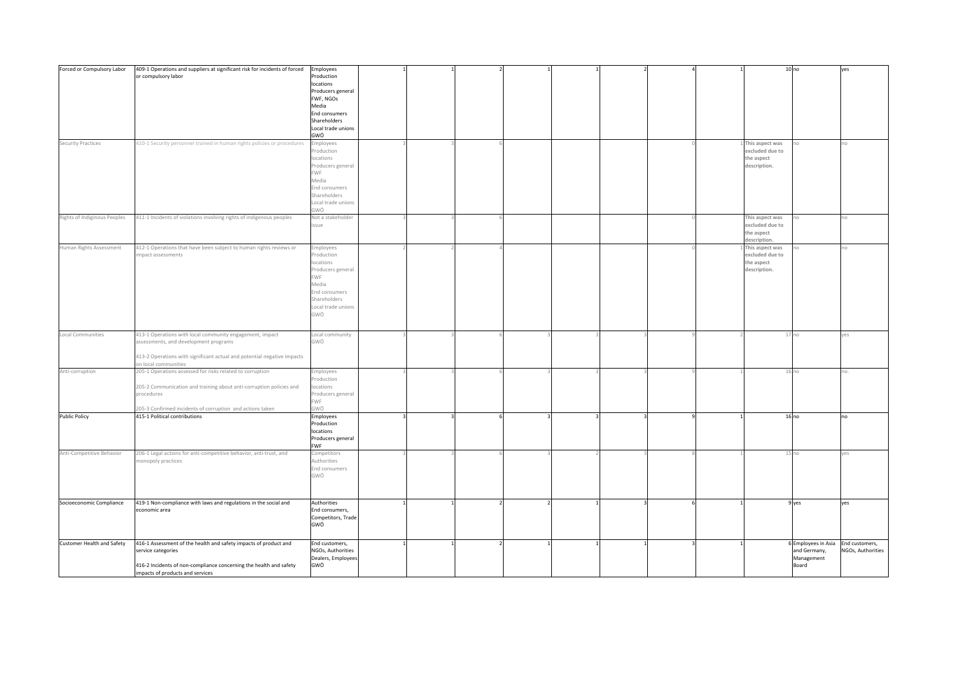| Forced or Compulsory Labor   | 409-1 Operations and suppliers at significant risk for incidents of forced<br>or compulsory labor                                                                                                           | Employees<br>Production<br>locations<br>Producers general<br>FWF, NGOs                                                                         |  |  |  |  |                                                                  | 10 <sub>no</sub>                                           | yes                                 |
|------------------------------|-------------------------------------------------------------------------------------------------------------------------------------------------------------------------------------------------------------|------------------------------------------------------------------------------------------------------------------------------------------------|--|--|--|--|------------------------------------------------------------------|------------------------------------------------------------|-------------------------------------|
|                              |                                                                                                                                                                                                             | Media<br><b>End consumers</b><br>Shareholders<br>Local trade unions<br>GWÖ                                                                     |  |  |  |  |                                                                  |                                                            |                                     |
| Security Practices           | 410-1 Security personnel trained in human rights policies or procedures                                                                                                                                     | Employees<br>Production<br>locations<br>Producers general<br><b>FWF</b><br>Media<br>End consumers<br>Shareholders<br>Local trade unions<br>GWÖ |  |  |  |  | This aspect was<br>excluded due to<br>the aspect<br>description. |                                                            | ١Ö                                  |
| Rights of Indiginous Peoples | 411-1 Incidents of violations involving rights of indigenous peoples                                                                                                                                        | Not a stakeholder<br>issue                                                                                                                     |  |  |  |  | This aspect was<br>excluded due to<br>the aspect<br>description. |                                                            | IO.                                 |
| Human Rights Assessment      | 412-1 Operations that have been subject to human rights reviews or<br>impact assessments                                                                                                                    | Employees<br>Production<br>locations<br>Producers general<br>FWF<br>Media<br>End consumers<br>Shareholders<br>Local trade unions<br>GWÖ        |  |  |  |  | This aspect was<br>excluded due to<br>the aspect<br>description. |                                                            | n.                                  |
| Local Communities            | 413-1 Operations with local community engagement, impact<br>assessments, and development programs<br>413-2 Operations with significant actual and potential negative impacts<br>on local communities        | Local community<br>GWÖ                                                                                                                         |  |  |  |  |                                                                  | 17 <sub>no</sub>                                           | yes                                 |
| Anti-corruption              | 205-1 Operations assessed for risks related to corruption<br>205-2 Communication and training about anti-corruption policies and<br>procedures<br>205-3 Confirmed incidents of corruption and actions taken | Employees<br>Production<br>locations<br>Producers general<br><b>FWF</b><br>GWÖ                                                                 |  |  |  |  |                                                                  | 16 <sub>no</sub>                                           | no.                                 |
| <b>Public Policy</b>         | 415-1 Political contributions                                                                                                                                                                               | Employees<br>Production<br>locations<br>Producers general<br><b>FWF</b>                                                                        |  |  |  |  |                                                                  | 16 <sub>no</sub>                                           | no                                  |
| Anti-Competitive Behavior    | 206-1 Legal actions for anti-competitive behavior, anti-trust, and<br>monopoly practices                                                                                                                    | Competitors<br>Authorities<br>End consumers<br>GWÖ                                                                                             |  |  |  |  |                                                                  | 15 <sub>no</sub>                                           | yes                                 |
| Socioeconomic Compliance     | 419-1 Non-compliance with laws and regulations in the social and<br>economic area                                                                                                                           | Authorities<br>End consumers,<br>Competitors, Trade<br>GWÖ                                                                                     |  |  |  |  |                                                                  | 9 yes                                                      | yes                                 |
| Customer Health and Safety   | 416-1 Assessment of the health and safety impacts of product and<br>service categories<br>416-2 Incidents of non-compliance concerning the health and safety<br>impacts of products and services            | End customers,<br>NGOs, Authorities<br>Dealers, Employees<br>GWÖ                                                                               |  |  |  |  |                                                                  | 6 Employees in Asia<br>and Germany,<br>Management<br>Board | End customers,<br>NGOs, Authorities |